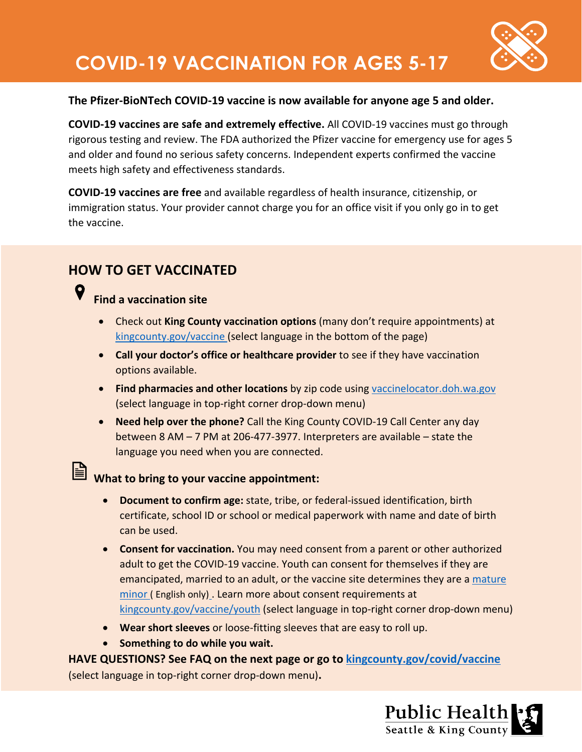

#### **The Pfizer-BioNTech COVID-19 vaccine is now available for anyone age 5 and older.**

**COVID-19 vaccines are safe and extremely effective.** All COVID-19 vaccines must go through rigorous testing and review. The FDA authorized the Pfizer vaccine for emergency use for ages 5 and older and found no serious safety concerns. Independent experts confirmed the vaccine meets high safety and effectiveness standards.

**COVID-19 vaccines are free** and available regardless of health insurance, citizenship, or immigration status. Your provider cannot charge you for an office visit if you only go in to get the vaccine.

## **HOW TO GET VACCINATED**

#### 9 **Find a vaccination site**

- Check out **King County vaccination options** (many don't require appointments) at [kingcounty.gov/vaccine](https://kingcounty.gov/depts/health/covid-19/vaccine/distribution.aspx) (select language in the bottom of the page)
- **Call your doctor's office or healthcare provider** to see if they have vaccination options available.
- **Find pharmacies and other locations** by zip code using [vaccinelocator.doh.wa.gov](https://vaccinelocator.doh.wa.gov/) (select language in top-right corner drop-down menu)
- **Need help over the phone?** Call the King County COVID-19 Call Center any day between 8 AM – 7 PM at 206-477-3977. Interpreters are available – state the language you need when you are connected.

# What to bring to your vaccine appointment:

- **Document to confirm age:** state, tribe, or federal-issued identification, birth certificate, school ID or school or medical paperwork with name and date of birth can be used.
- **Consent for vaccination.** You may need consent from a parent or other authorized adult to get the COVID-19 vaccine. Youth can consent for themselves if they are emancipated, married to an adult, or the vaccine site determines they are a [mature](https://kingcounty.gov/depts/health/locations/mature-minor-rule.aspx)  [minor](https://kingcounty.gov/depts/health/locations/mature-minor-rule.aspx) ( English only) . Learn more about consent requirements at [kingcounty.gov/vaccine/youth](https://kingcounty.gov/depts/health/covid-19/vaccine/youth.aspx) (select language in top-right corner drop-down menu)
- **Wear short sleeves** or loose-fitting sleeves that are easy to roll up.
- **Something to do while you wait.**

**HAVE QUESTIONS? See FAQ on the next page or go to [kingcounty.gov/covid/vaccine](https://kingcounty.gov/depts/health/covid-19/vaccine.aspx)** (select language in top-right corner drop-down menu)**.**